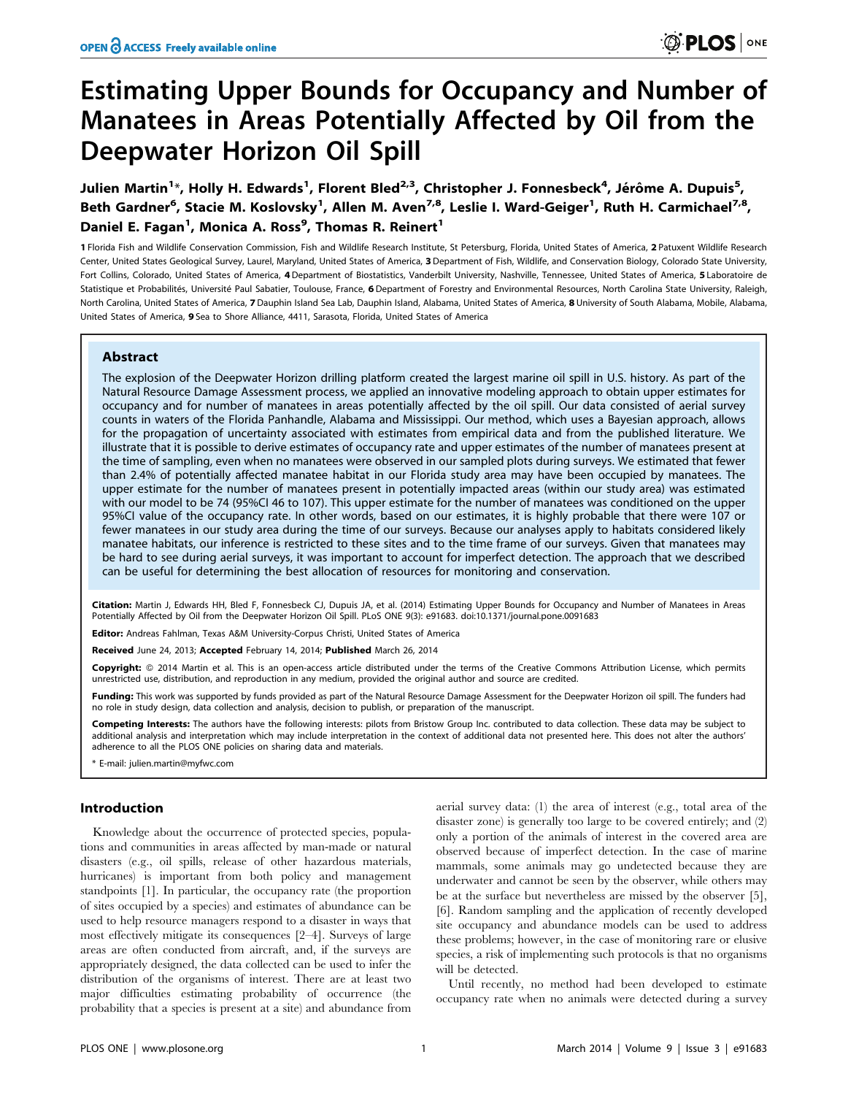# Estimating Upper Bounds for Occupancy and Number of Manatees in Areas Potentially Affected by Oil from the Deepwater Horizon Oil Spill

Julien Martin<sup>1</sup>\*, Holly H. Edwards<sup>1</sup>, Florent Bled<sup>2,3</sup>, Christopher J. Fonnesbeck<sup>4</sup>, Jérôme A. Dupuis<sup>5</sup>, Beth Gardner<sup>6</sup>, Stacie M. Koslovsky<sup>1</sup>, Allen M. Aven<sup>7,8</sup>, Leslie I. Ward-Geiger<sup>1</sup>, Ruth H. Carmichael<sup>7,8</sup>, Daniel E. Fagan<sup>1</sup>, Monica A. Ross<sup>9</sup>, Thomas R. Reinert<sup>1</sup>

1 Florida Fish and Wildlife Conservation Commission, Fish and Wildlife Research Institute, St Petersburg, Florida, United States of America, 2 Patuxent Wildlife Research Center, United States Geological Survey, Laurel, Maryland, United States of America, 3Department of Fish, Wildlife, and Conservation Biology, Colorado State University, Fort Collins, Colorado, United States of America, 4 Department of Biostatistics, Vanderbilt University, Nashville, Tennessee, United States of America, 5 Laboratoire de Statistique et Probabilités, Université Paul Sabatier, Toulouse, France, 6 Department of Forestry and Environmental Resources, North Carolina State University, Raleigh, North Carolina, United States of America, 7 Dauphin Island Sea Lab, Dauphin Island, Alabama, United States of America, 8 University of South Alabama, Mobile, Alabama, United States of America, 9 Sea to Shore Alliance, 4411, Sarasota, Florida, United States of America

## Abstract

The explosion of the Deepwater Horizon drilling platform created the largest marine oil spill in U.S. history. As part of the Natural Resource Damage Assessment process, we applied an innovative modeling approach to obtain upper estimates for occupancy and for number of manatees in areas potentially affected by the oil spill. Our data consisted of aerial survey counts in waters of the Florida Panhandle, Alabama and Mississippi. Our method, which uses a Bayesian approach, allows for the propagation of uncertainty associated with estimates from empirical data and from the published literature. We illustrate that it is possible to derive estimates of occupancy rate and upper estimates of the number of manatees present at the time of sampling, even when no manatees were observed in our sampled plots during surveys. We estimated that fewer than 2.4% of potentially affected manatee habitat in our Florida study area may have been occupied by manatees. The upper estimate for the number of manatees present in potentially impacted areas (within our study area) was estimated with our model to be 74 (95%CI 46 to 107). This upper estimate for the number of manatees was conditioned on the upper 95%CI value of the occupancy rate. In other words, based on our estimates, it is highly probable that there were 107 or fewer manatees in our study area during the time of our surveys. Because our analyses apply to habitats considered likely manatee habitats, our inference is restricted to these sites and to the time frame of our surveys. Given that manatees may be hard to see during aerial surveys, it was important to account for imperfect detection. The approach that we described can be useful for determining the best allocation of resources for monitoring and conservation.

Citation: Martin J, Edwards HH, Bled F, Fonnesbeck CJ, Dupuis JA, et al. (2014) Estimating Upper Bounds for Occupancy and Number of Manatees in Areas Potentially Affected by Oil from the Deepwater Horizon Oil Spill. PLoS ONE 9(3): e91683. doi:10.1371/journal.pone.0091683

Editor: Andreas Fahlman, Texas A&M University-Corpus Christi, United States of America

Received June 24, 2013; Accepted February 14, 2014; Published March 26, 2014

Copyright: © 2014 Martin et al. This is an open-access article distributed under the terms of the [Creative Commons Attribution License](http://creativecommons.org/licenses/by/4.0/), which permits unrestricted use, distribution, and reproduction in any medium, provided the original author and source are credited.

Funding: This work was supported by funds provided as part of the Natural Resource Damage Assessment for the Deepwater Horizon oil spill. The funders had no role in study design, data collection and analysis, decision to publish, or preparation of the manuscript.

Competing Interests: The authors have the following interests: pilots from Bristow Group Inc. contributed to data collection. These data may be subject to additional analysis and interpretation which may include interpretation in the context of additional data not presented here. This does not alter the authors' adherence to all the PLOS ONE policies on sharing data and materials.

\* E-mail: julien.martin@myfwc.com

## Introduction

Knowledge about the occurrence of protected species, populations and communities in areas affected by man-made or natural disasters (e.g., oil spills, release of other hazardous materials, hurricanes) is important from both policy and management standpoints [1]. In particular, the occupancy rate (the proportion of sites occupied by a species) and estimates of abundance can be used to help resource managers respond to a disaster in ways that most effectively mitigate its consequences [2–4]. Surveys of large areas are often conducted from aircraft, and, if the surveys are appropriately designed, the data collected can be used to infer the distribution of the organisms of interest. There are at least two major difficulties estimating probability of occurrence (the probability that a species is present at a site) and abundance from

aerial survey data: (1) the area of interest (e.g., total area of the disaster zone) is generally too large to be covered entirely; and (2) only a portion of the animals of interest in the covered area are observed because of imperfect detection. In the case of marine mammals, some animals may go undetected because they are underwater and cannot be seen by the observer, while others may be at the surface but nevertheless are missed by the observer [5], [6]. Random sampling and the application of recently developed site occupancy and abundance models can be used to address these problems; however, in the case of monitoring rare or elusive species, a risk of implementing such protocols is that no organisms will be detected.

Until recently, no method had been developed to estimate occupancy rate when no animals were detected during a survey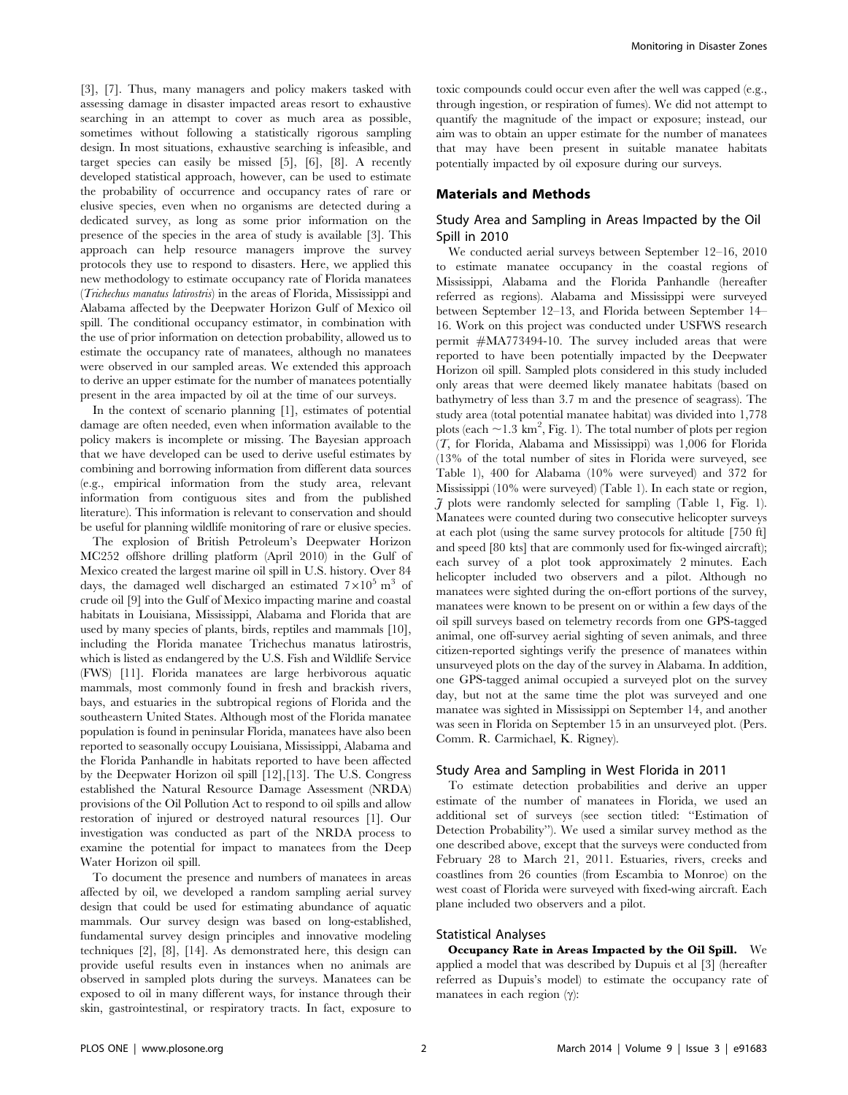[3], [7]. Thus, many managers and policy makers tasked with assessing damage in disaster impacted areas resort to exhaustive searching in an attempt to cover as much area as possible, sometimes without following a statistically rigorous sampling design. In most situations, exhaustive searching is infeasible, and target species can easily be missed [5], [6], [8]. A recently developed statistical approach, however, can be used to estimate the probability of occurrence and occupancy rates of rare or elusive species, even when no organisms are detected during a dedicated survey, as long as some prior information on the presence of the species in the area of study is available [3]. This approach can help resource managers improve the survey protocols they use to respond to disasters. Here, we applied this new methodology to estimate occupancy rate of Florida manatees (Trichechus manatus latirostris) in the areas of Florida, Mississippi and Alabama affected by the Deepwater Horizon Gulf of Mexico oil spill. The conditional occupancy estimator, in combination with the use of prior information on detection probability, allowed us to estimate the occupancy rate of manatees, although no manatees were observed in our sampled areas. We extended this approach to derive an upper estimate for the number of manatees potentially present in the area impacted by oil at the time of our surveys.

In the context of scenario planning [1], estimates of potential damage are often needed, even when information available to the policy makers is incomplete or missing. The Bayesian approach that we have developed can be used to derive useful estimates by combining and borrowing information from different data sources (e.g., empirical information from the study area, relevant information from contiguous sites and from the published literature). This information is relevant to conservation and should be useful for planning wildlife monitoring of rare or elusive species.

The explosion of British Petroleum's Deepwater Horizon MC252 offshore drilling platform (April 2010) in the Gulf of Mexico created the largest marine oil spill in U.S. history. Over 84 days, the damaged well discharged an estimated  $7 \times 10^5$  m<sup>3</sup> of crude oil [9] into the Gulf of Mexico impacting marine and coastal habitats in Louisiana, Mississippi, Alabama and Florida that are used by many species of plants, birds, reptiles and mammals [10], including the Florida manatee Trichechus manatus latirostris, which is listed as endangered by the U.S. Fish and Wildlife Service (FWS) [11]. Florida manatees are large herbivorous aquatic mammals, most commonly found in fresh and brackish rivers, bays, and estuaries in the subtropical regions of Florida and the southeastern United States. Although most of the Florida manatee population is found in peninsular Florida, manatees have also been reported to seasonally occupy Louisiana, Mississippi, Alabama and the Florida Panhandle in habitats reported to have been affected by the Deepwater Horizon oil spill [12],[13]. The U.S. Congress established the Natural Resource Damage Assessment (NRDA) provisions of the Oil Pollution Act to respond to oil spills and allow restoration of injured or destroyed natural resources [1]. Our investigation was conducted as part of the NRDA process to examine the potential for impact to manatees from the Deep Water Horizon oil spill.

To document the presence and numbers of manatees in areas affected by oil, we developed a random sampling aerial survey design that could be used for estimating abundance of aquatic mammals. Our survey design was based on long-established, fundamental survey design principles and innovative modeling techniques [2], [8], [14]. As demonstrated here, this design can provide useful results even in instances when no animals are observed in sampled plots during the surveys. Manatees can be exposed to oil in many different ways, for instance through their skin, gastrointestinal, or respiratory tracts. In fact, exposure to toxic compounds could occur even after the well was capped (e.g., through ingestion, or respiration of fumes). We did not attempt to quantify the magnitude of the impact or exposure; instead, our aim was to obtain an upper estimate for the number of manatees that may have been present in suitable manatee habitats potentially impacted by oil exposure during our surveys.

#### Materials and Methods

## Study Area and Sampling in Areas Impacted by the Oil Spill in 2010

We conducted aerial surveys between September 12–16, 2010 to estimate manatee occupancy in the coastal regions of Mississippi, Alabama and the Florida Panhandle (hereafter referred as regions). Alabama and Mississippi were surveyed between September 12–13, and Florida between September 14– 16. Work on this project was conducted under USFWS research permit #MA773494-10. The survey included areas that were reported to have been potentially impacted by the Deepwater Horizon oil spill. Sampled plots considered in this study included only areas that were deemed likely manatee habitats (based on bathymetry of less than 3.7 m and the presence of seagrass). The study area (total potential manatee habitat) was divided into 1,778 plots (each  $\sim$  1.3 km<sup>2</sup>, Fig. 1). The total number of plots per region (T, for Florida, Alabama and Mississippi) was 1,006 for Florida (13% of the total number of sites in Florida were surveyed, see Table 1), 400 for Alabama (10% were surveyed) and 372 for Mississippi (10% were surveyed) (Table 1). In each state or region,  $J$  plots were randomly selected for sampling (Table 1, Fig. 1). Manatees were counted during two consecutive helicopter surveys at each plot (using the same survey protocols for altitude [750 ft] and speed [80 kts] that are commonly used for fix-winged aircraft); each survey of a plot took approximately 2 minutes. Each helicopter included two observers and a pilot. Although no manatees were sighted during the on-effort portions of the survey, manatees were known to be present on or within a few days of the oil spill surveys based on telemetry records from one GPS-tagged animal, one off-survey aerial sighting of seven animals, and three citizen-reported sightings verify the presence of manatees within unsurveyed plots on the day of the survey in Alabama. In addition, one GPS-tagged animal occupied a surveyed plot on the survey day, but not at the same time the plot was surveyed and one manatee was sighted in Mississippi on September 14, and another was seen in Florida on September 15 in an unsurveyed plot. (Pers. Comm. R. Carmichael, K. Rigney).

#### Study Area and Sampling in West Florida in 2011

To estimate detection probabilities and derive an upper estimate of the number of manatees in Florida, we used an additional set of surveys (see section titled: ''Estimation of Detection Probability''). We used a similar survey method as the one described above, except that the surveys were conducted from February 28 to March 21, 2011. Estuaries, rivers, creeks and coastlines from 26 counties (from Escambia to Monroe) on the west coast of Florida were surveyed with fixed-wing aircraft. Each plane included two observers and a pilot.

#### Statistical Analyses

Occupancy Rate in Areas Impacted by the Oil Spill. We applied a model that was described by Dupuis et al [3] (hereafter referred as Dupuis's model) to estimate the occupancy rate of manatees in each region  $(\gamma)$ :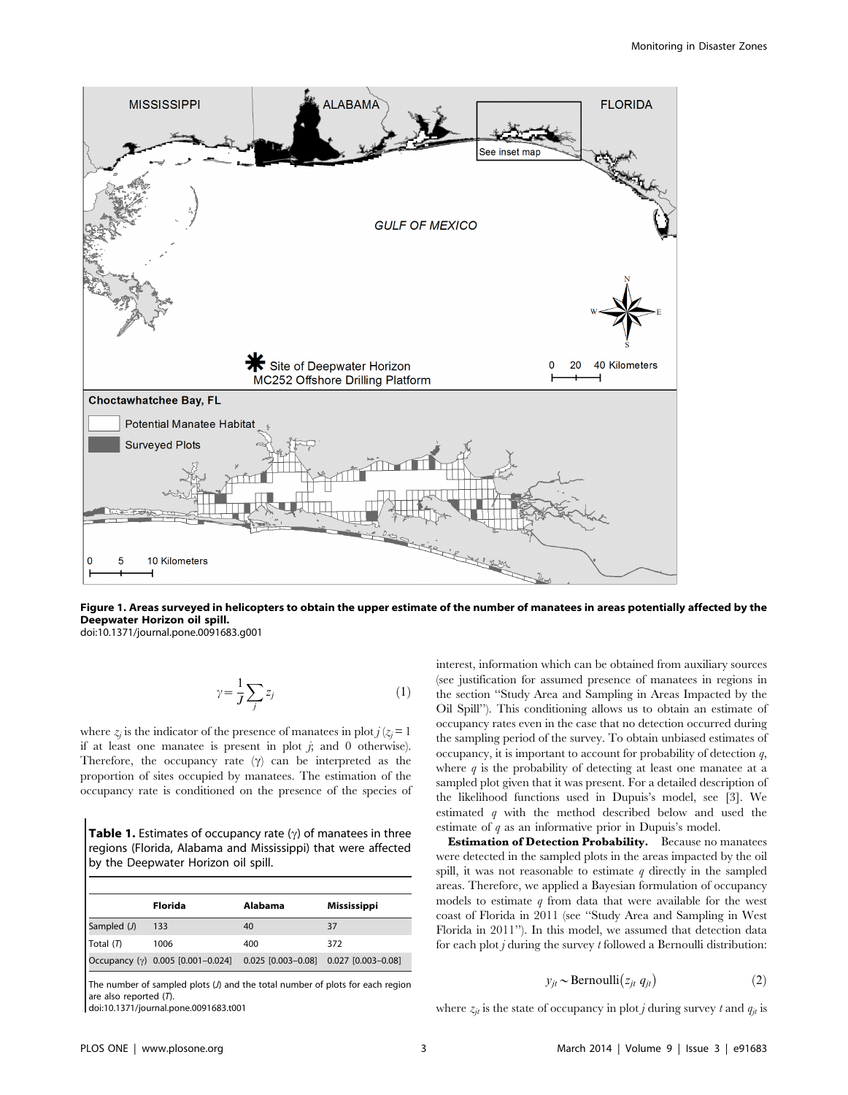

Figure 1. Areas surveyed in helicopters to obtain the upper estimate of the number of manatees in areas potentially affected by the Deepwater Horizon oil spill.

doi:10.1371/journal.pone.0091683.g001

$$
\gamma = \frac{1}{J} \sum_{j} z_j \tag{1}
$$

where  $z_j$  is the indicator of the presence of manatees in plot  $j (z_j = 1)$ if at least one manatee is present in plot  $j$ ; and 0 otherwise). Therefore, the occupancy rate  $(\gamma)$  can be interpreted as the proportion of sites occupied by manatees. The estimation of the occupancy rate is conditioned on the presence of the species of

**Table 1.** Estimates of occupancy rate  $(\gamma)$  of manatees in three regions (Florida, Alabama and Mississippi) that were affected by the Deepwater Horizon oil spill.

|             | Florida                                                                 | Alabama | <b>Mississippi</b> |
|-------------|-------------------------------------------------------------------------|---------|--------------------|
| Sampled (J) | 133                                                                     | 40      | 37                 |
| Total $(T)$ | 1006                                                                    | 400     | 372                |
|             | Occupancy (γ) 0.005 [0.001-0.024] 0.025 [0.003-0.08] 0.027 [0.003-0.08] |         |                    |

The number of sampled plots (J) and the total number of plots for each region are also reported  $(\vec{T})$ .

doi:10.1371/journal.pone.0091683.t001

interest, information which can be obtained from auxiliary sources (see justification for assumed presence of manatees in regions in the section ''Study Area and Sampling in Areas Impacted by the Oil Spill''). This conditioning allows us to obtain an estimate of occupancy rates even in the case that no detection occurred during the sampling period of the survey. To obtain unbiased estimates of occupancy, it is important to account for probability of detection  $q$ , where  $q$  is the probability of detecting at least one manatee at a sampled plot given that it was present. For a detailed description of the likelihood functions used in Dupuis's model, see [3]. We estimated q with the method described below and used the estimate of  $q$  as an informative prior in Dupuis's model.

Estimation of Detection Probability. Because no manatees were detected in the sampled plots in the areas impacted by the oil spill, it was not reasonable to estimate  $q$  directly in the sampled areas. Therefore, we applied a Bayesian formulation of occupancy models to estimate  $q$  from data that were available for the west coast of Florida in 2011 (see ''Study Area and Sampling in West Florida in 2011''). In this model, we assumed that detection data for each plot  $j$  during the survey  $t$  followed a Bernoulli distribution:

$$
y_{jt} \sim \text{Bernoulli}(z_{jt} \, q_{jt}) \tag{2}
$$

where  $z_{jt}$  is the state of occupancy in plot *j* during survey t and  $q_{it}$  is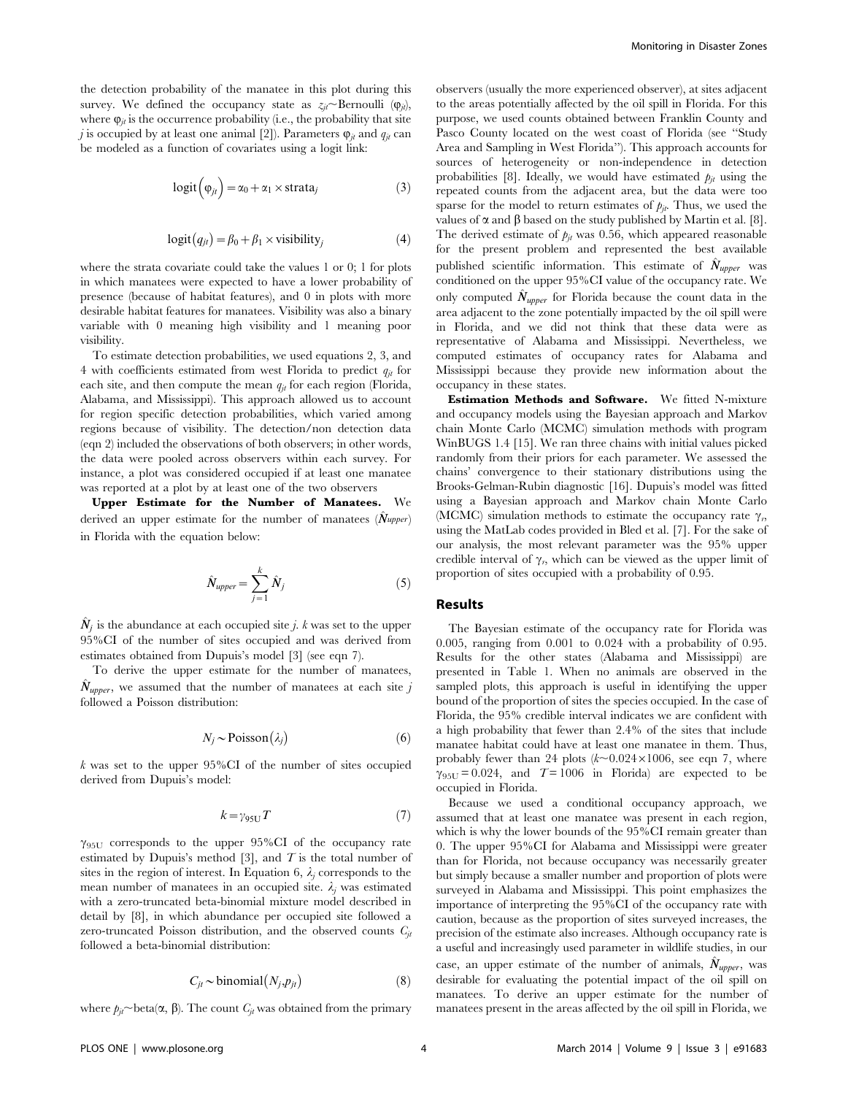the detection probability of the manatee in this plot during this survey. We defined the occupancy state as  $z_{it}$  Bernoulli ( $\varphi_{it}$ ), where  $\varphi_{it}$  is the occurrence probability (i.e., the probability that site j is occupied by at least one animal [2]). Parameters  $\varphi_{it}$  and  $q_{it}$  can be modeled as a function of covariates using a logit link:

$$
logit(\varphi_{jt}) = \alpha_0 + \alpha_1 \times \text{strata}_j \tag{3}
$$

$$
logit(q_{jt}) = \beta_0 + \beta_1 \times visibility_j
$$
 (4)

where the strata covariate could take the values 1 or 0; 1 for plots in which manatees were expected to have a lower probability of presence (because of habitat features), and 0 in plots with more desirable habitat features for manatees. Visibility was also a binary variable with 0 meaning high visibility and 1 meaning poor visibility.

To estimate detection probabilities, we used equations 2, 3, and 4 with coefficients estimated from west Florida to predict  $q_{it}$  for each site, and then compute the mean  $q_{jt}$  for each region (Florida, Alabama, and Mississippi). This approach allowed us to account for region specific detection probabilities, which varied among regions because of visibility. The detection/non detection data (eqn 2) included the observations of both observers; in other words, the data were pooled across observers within each survey. For instance, a plot was considered occupied if at least one manatee was reported at a plot by at least one of the two observers

Upper Estimate for the Number of Manatees. derived an upper estimate for the number of manatees  $(\hat{N}_{upper})$ in Florida with the equation below:

$$
\hat{N}_{upper} = \sum_{j=1}^{k} \hat{N}_j
$$
\n(5)

 $N_i$  is the abundance at each occupied site j. k was set to the upper 95%CI of the number of sites occupied and was derived from estimates obtained from Dupuis's model [3] (see eqn 7).

To derive the upper estimate for the number of manatees,  $N_{upper}$ , we assumed that the number of manatees at each site j followed a Poisson distribution:

$$
N_j \sim \text{Poisson}(\lambda_j) \tag{6}
$$

 $k$  was set to the upper 95%CI of the number of sites occupied derived from Dupuis's model:

$$
k = \gamma_{95U} T \tag{7}
$$

 $\gamma_{95U}$  corresponds to the upper 95%CI of the occupancy rate estimated by Dupuis's method [3], and  $T$  is the total number of sites in the region of interest. In Equation 6,  $\lambda_j$  corresponds to the mean number of manatees in an occupied site.  $\lambda_i$  was estimated with a zero-truncated beta-binomial mixture model described in detail by [8], in which abundance per occupied site followed a zero-truncated Poisson distribution, and the observed counts  $C_{it}$ followed a beta-binomial distribution:

$$
C_{jt} \sim \text{binomial}(N_j, p_{jt})
$$
 (8)

where  $p_{it}$  beta( $\alpha$ ,  $\beta$ ). The count  $C_{it}$  was obtained from the primary

observers (usually the more experienced observer), at sites adjacent to the areas potentially affected by the oil spill in Florida. For this purpose, we used counts obtained between Franklin County and Pasco County located on the west coast of Florida (see ''Study Area and Sampling in West Florida''). This approach accounts for sources of heterogeneity or non-independence in detection probabilities [8]. Ideally, we would have estimated  $p_{it}$  using the repeated counts from the adjacent area, but the data were too sparse for the model to return estimates of  $p_{jt}$ . Thus, we used the values of  $\alpha$  and  $\beta$  based on the study published by Martin et al. [8]. The derived estimate of  $p_{jt}$  was 0.56, which appeared reasonable for the present problem and represented the best available published scientific information. This estimate of  $N_{\text{unner}}$  was conditioned on the upper 95%CI value of the occupancy rate. We only computed  $\hat{N}_{\text{upper}}$  for Florida because the count data in the area adjacent to the zone potentially impacted by the oil spill were in Florida, and we did not think that these data were as representative of Alabama and Mississippi. Nevertheless, we computed estimates of occupancy rates for Alabama and Mississippi because they provide new information about the occupancy in these states.

Estimation Methods and Software. We fitted N-mixture and occupancy models using the Bayesian approach and Markov chain Monte Carlo (MCMC) simulation methods with program WinBUGS 1.4 [15]. We ran three chains with initial values picked randomly from their priors for each parameter. We assessed the chains' convergence to their stationary distributions using the Brooks-Gelman-Rubin diagnostic [16]. Dupuis's model was fitted using a Bayesian approach and Markov chain Monte Carlo (MCMC) simulation methods to estimate the occupancy rate  $\gamma_r$ , using the MatLab codes provided in Bled et al. [7]. For the sake of our analysis, the most relevant parameter was the 95% upper credible interval of  $\gamma_n$ , which can be viewed as the upper limit of proportion of sites occupied with a probability of 0.95.

#### Results

The Bayesian estimate of the occupancy rate for Florida was 0.005, ranging from 0.001 to 0.024 with a probability of 0.95. Results for the other states (Alabama and Mississippi) are presented in Table 1. When no animals are observed in the sampled plots, this approach is useful in identifying the upper bound of the proportion of sites the species occupied. In the case of Florida, the 95% credible interval indicates we are confident with a high probability that fewer than 2.4% of the sites that include manatee habitat could have at least one manatee in them. Thus, probably fewer than 24 plots  $(k\sim 0.024 \times 1006)$ , see eqn 7, where  $\gamma_{95U} = 0.024$ , and  $T = 1006$  in Florida) are expected to be occupied in Florida.

Because we used a conditional occupancy approach, we assumed that at least one manatee was present in each region, which is why the lower bounds of the 95%CI remain greater than 0. The upper 95%CI for Alabama and Mississippi were greater than for Florida, not because occupancy was necessarily greater but simply because a smaller number and proportion of plots were surveyed in Alabama and Mississippi. This point emphasizes the importance of interpreting the 95%CI of the occupancy rate with caution, because as the proportion of sites surveyed increases, the precision of the estimate also increases. Although occupancy rate is a useful and increasingly used parameter in wildlife studies, in our case, an upper estimate of the number of animals,  $\hat{N}_{upper}$ , was desirable for evaluating the potential impact of the oil spill on manatees. To derive an upper estimate for the number of manatees present in the areas affected by the oil spill in Florida, we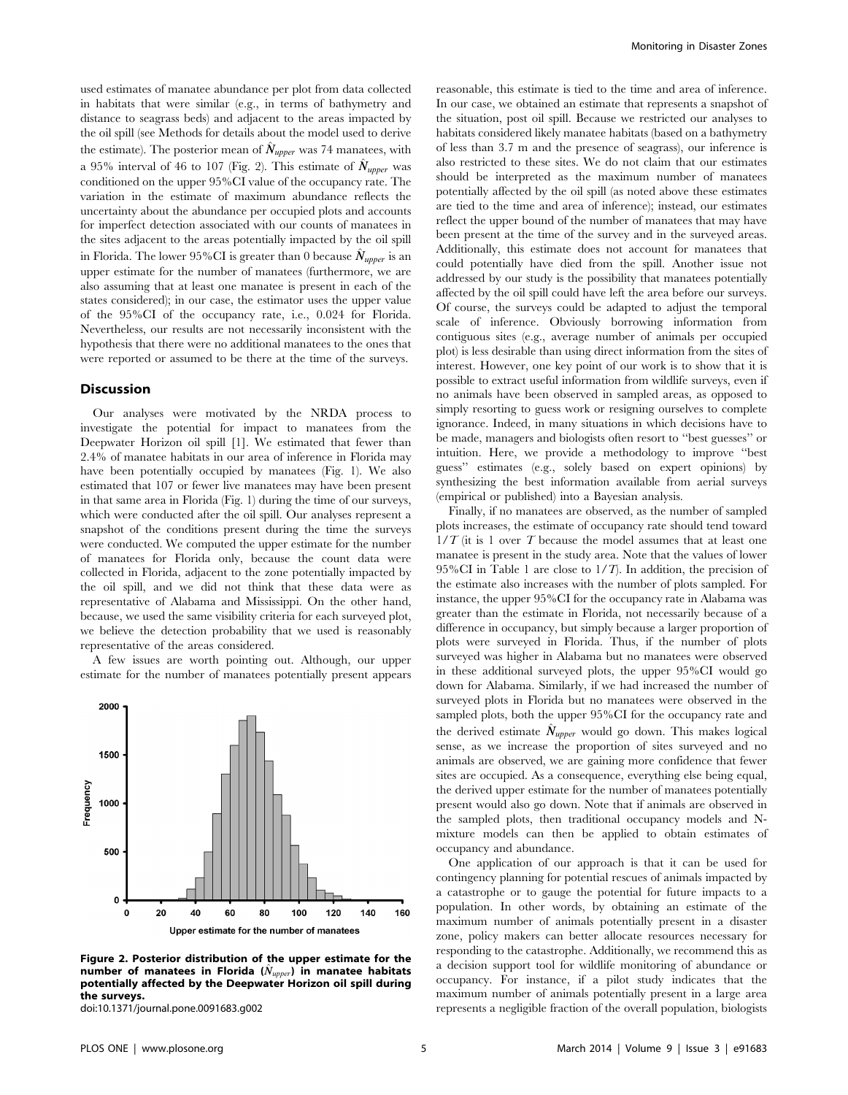used estimates of manatee abundance per plot from data collected in habitats that were similar (e.g., in terms of bathymetry and distance to seagrass beds) and adjacent to the areas impacted by the oil spill (see Methods for details about the model used to derive the estimate). The posterior mean of  $\hat{N}_{upper}$  was 74 manatees, with a 95% interval of 46 to 107 (Fig. 2). This estimate of  $\hat{N}_{upper}$  was conditioned on the upper 95%CI value of the occupancy rate. The variation in the estimate of maximum abundance reflects the uncertainty about the abundance per occupied plots and accounts for imperfect detection associated with our counts of manatees in the sites adjacent to the areas potentially impacted by the oil spill in Florida. The lower 95%CI is greater than 0 because  $\hat{N}_{\text{upper}}$  is an upper estimate for the number of manatees (furthermore, we are also assuming that at least one manatee is present in each of the states considered); in our case, the estimator uses the upper value of the 95%CI of the occupancy rate, i.e., 0.024 for Florida. Nevertheless, our results are not necessarily inconsistent with the hypothesis that there were no additional manatees to the ones that were reported or assumed to be there at the time of the surveys.

#### **Discussion**

Our analyses were motivated by the NRDA process to investigate the potential for impact to manatees from the Deepwater Horizon oil spill [1]. We estimated that fewer than 2.4% of manatee habitats in our area of inference in Florida may have been potentially occupied by manatees (Fig. 1). We also estimated that 107 or fewer live manatees may have been present in that same area in Florida (Fig. 1) during the time of our surveys, which were conducted after the oil spill. Our analyses represent a snapshot of the conditions present during the time the surveys were conducted. We computed the upper estimate for the number of manatees for Florida only, because the count data were collected in Florida, adjacent to the zone potentially impacted by the oil spill, and we did not think that these data were as representative of Alabama and Mississippi. On the other hand, because, we used the same visibility criteria for each surveyed plot, we believe the detection probability that we used is reasonably representative of the areas considered.

A few issues are worth pointing out. Although, our upper estimate for the number of manatees potentially present appears



Figure 2. Posterior distribution of the upper estimate for the number of manatees in Florida ( $\hat{N}_{upper}$ ) in manatee habitats potentially affected by the Deepwater Horizon oil spill during the surveys.

doi:10.1371/journal.pone.0091683.g002

reasonable, this estimate is tied to the time and area of inference. In our case, we obtained an estimate that represents a snapshot of the situation, post oil spill. Because we restricted our analyses to habitats considered likely manatee habitats (based on a bathymetry of less than 3.7 m and the presence of seagrass), our inference is also restricted to these sites. We do not claim that our estimates should be interpreted as the maximum number of manatees potentially affected by the oil spill (as noted above these estimates are tied to the time and area of inference); instead, our estimates reflect the upper bound of the number of manatees that may have been present at the time of the survey and in the surveyed areas. Additionally, this estimate does not account for manatees that could potentially have died from the spill. Another issue not addressed by our study is the possibility that manatees potentially affected by the oil spill could have left the area before our surveys. Of course, the surveys could be adapted to adjust the temporal scale of inference. Obviously borrowing information from contiguous sites (e.g., average number of animals per occupied plot) is less desirable than using direct information from the sites of interest. However, one key point of our work is to show that it is possible to extract useful information from wildlife surveys, even if no animals have been observed in sampled areas, as opposed to simply resorting to guess work or resigning ourselves to complete ignorance. Indeed, in many situations in which decisions have to be made, managers and biologists often resort to ''best guesses'' or intuition. Here, we provide a methodology to improve ''best guess'' estimates (e.g., solely based on expert opinions) by synthesizing the best information available from aerial surveys (empirical or published) into a Bayesian analysis.

Finally, if no manatees are observed, as the number of sampled plots increases, the estimate of occupancy rate should tend toward  $1/T$  (it is 1 over T because the model assumes that at least one manatee is present in the study area. Note that the values of lower 95%CI in Table 1 are close to  $1/T$ ). In addition, the precision of the estimate also increases with the number of plots sampled. For instance, the upper 95%CI for the occupancy rate in Alabama was greater than the estimate in Florida, not necessarily because of a difference in occupancy, but simply because a larger proportion of plots were surveyed in Florida. Thus, if the number of plots surveyed was higher in Alabama but no manatees were observed in these additional surveyed plots, the upper 95%CI would go down for Alabama. Similarly, if we had increased the number of surveyed plots in Florida but no manatees were observed in the sampled plots, both the upper 95%CI for the occupancy rate and the derived estimate  $\hat{N}_{upper}$  would go down. This makes logical sense, as we increase the proportion of sites surveyed and no animals are observed, we are gaining more confidence that fewer sites are occupied. As a consequence, everything else being equal, the derived upper estimate for the number of manatees potentially present would also go down. Note that if animals are observed in the sampled plots, then traditional occupancy models and Nmixture models can then be applied to obtain estimates of occupancy and abundance.

One application of our approach is that it can be used for contingency planning for potential rescues of animals impacted by a catastrophe or to gauge the potential for future impacts to a population. In other words, by obtaining an estimate of the maximum number of animals potentially present in a disaster zone, policy makers can better allocate resources necessary for responding to the catastrophe. Additionally, we recommend this as a decision support tool for wildlife monitoring of abundance or occupancy. For instance, if a pilot study indicates that the maximum number of animals potentially present in a large area represents a negligible fraction of the overall population, biologists